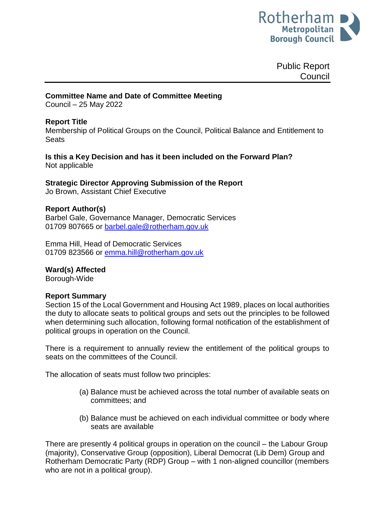

Public Report **Council** 

### **Committee Name and Date of Committee Meeting**

Council – 25 May 2022

### **Report Title**

Membership of Political Groups on the Council, Political Balance and Entitlement to **Seats** 

### **Is this a Key Decision and has it been included on the Forward Plan?**  Not applicable

### **Strategic Director Approving Submission of the Report**

Jo Brown, Assistant Chief Executive

### **Report Author(s)**

Barbel Gale, Governance Manager, Democratic Services 01709 807665 or [barbel.gale@rotherham.gov.uk](mailto:barbel.gale@rotherham.gov.uk)

Emma Hill, Head of Democratic Services 01709 823566 or [emma.hill@rotherham.gov.uk](mailto:emma.hill@rotherham.gov.uk)

### **Ward(s) Affected**

Borough-Wide

### **Report Summary**

Section 15 of the Local Government and Housing Act 1989, places on local authorities the duty to allocate seats to political groups and sets out the principles to be followed when determining such allocation, following formal notification of the establishment of political groups in operation on the Council.

There is a requirement to annually review the entitlement of the political groups to seats on the committees of the Council.

The allocation of seats must follow two principles:

- (a) Balance must be achieved across the total number of available seats on committees; and
- (b) Balance must be achieved on each individual committee or body where seats are available

There are presently 4 political groups in operation on the council – the Labour Group (majority), Conservative Group (opposition), Liberal Democrat (Lib Dem) Group and Rotherham Democratic Party (RDP) Group – with 1 non-aligned councillor (members who are not in a political group).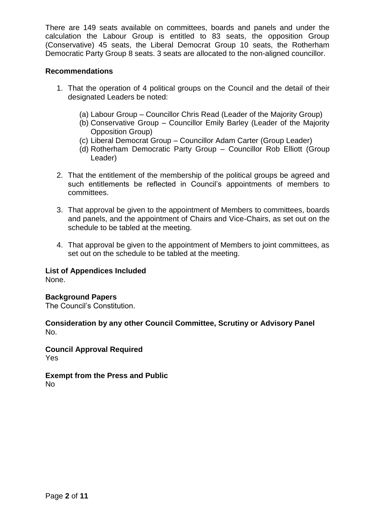There are 149 seats available on committees, boards and panels and under the calculation the Labour Group is entitled to 83 seats, the opposition Group (Conservative) 45 seats, the Liberal Democrat Group 10 seats, the Rotherham Democratic Party Group 8 seats. 3 seats are allocated to the non-aligned councillor.

## **Recommendations**

- 1. That the operation of 4 political groups on the Council and the detail of their designated Leaders be noted:
	- (a) Labour Group Councillor Chris Read (Leader of the Majority Group)
	- (b) Conservative Group Councillor Emily Barley (Leader of the Majority Opposition Group)
	- (c) Liberal Democrat Group Councillor Adam Carter (Group Leader)
	- (d) Rotherham Democratic Party Group Councillor Rob Elliott (Group Leader)
- 2. That the entitlement of the membership of the political groups be agreed and such entitlements be reflected in Council's appointments of members to committees.
- 3. That approval be given to the appointment of Members to committees, boards and panels, and the appointment of Chairs and Vice-Chairs, as set out on the schedule to be tabled at the meeting.
- 4. That approval be given to the appointment of Members to joint committees, as set out on the schedule to be tabled at the meeting.

## **List of Appendices Included**

None.

## **Background Papers**

The Council's Constitution.

### **Consideration by any other Council Committee, Scrutiny or Advisory Panel** No.

**Council Approval Required** Yes

#### **Exempt from the Press and Public** No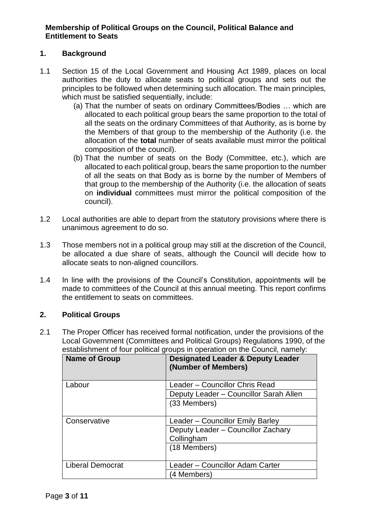# **Membership of Political Groups on the Council, Political Balance and Entitlement to Seats**

# **1. Background**

- 1.1 Section 15 of the Local Government and Housing Act 1989, places on local authorities the duty to allocate seats to political groups and sets out the principles to be followed when determining such allocation. The main principles, which must be satisfied sequentially, include:
	- (a) That the number of seats on ordinary Committees/Bodies … which are allocated to each political group bears the same proportion to the total of all the seats on the ordinary Committees of that Authority, as is borne by the Members of that group to the membership of the Authority (i.e. the allocation of the **total** number of seats available must mirror the political composition of the council).
	- (b) That the number of seats on the Body (Committee, etc.), which are allocated to each political group, bears the same proportion to the number of all the seats on that Body as is borne by the number of Members of that group to the membership of the Authority (i.e. the allocation of seats on **individual** committees must mirror the political composition of the council).
- 1.2 Local authorities are able to depart from the statutory provisions where there is unanimous agreement to do so.
- 1.3 Those members not in a political group may still at the discretion of the Council, be allocated a due share of seats, although the Council will decide how to allocate seats to non-aligned councillors.
- 1.4 In line with the provisions of the Council's Constitution, appointments will be made to committees of the Council at this annual meeting. This report confirms the entitlement to seats on committees.

## **2. Political Groups**

2.1 The Proper Officer has received formal notification, under the provisions of the Local Government (Committees and Political Groups) Regulations 1990, of the establishment of four political groups in operation on the Council, namely:

| <b>Name of Group</b>    | <b>Designated Leader &amp; Deputy Leader</b><br>(Number of Members) |
|-------------------------|---------------------------------------------------------------------|
| Labour                  | Leader - Councillor Chris Read                                      |
|                         | Deputy Leader - Councillor Sarah Allen                              |
|                         | (33 Members)                                                        |
| Conservative            | Leader – Councillor Emily Barley                                    |
|                         | Deputy Leader - Councillor Zachary                                  |
|                         | Collingham                                                          |
|                         | (18 Members)                                                        |
| <b>Liberal Democrat</b> | Leader - Councillor Adam Carter                                     |
|                         | (4 Members)                                                         |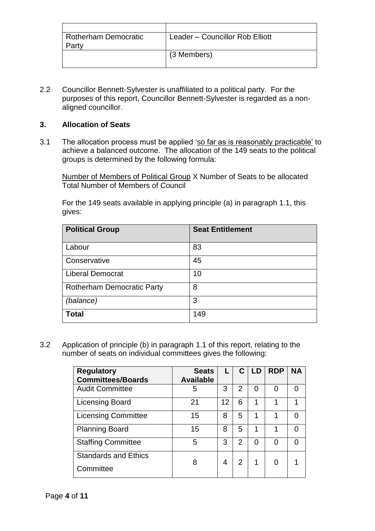| <b>Rotherham Democratic</b> | Leader - Councillor Rob Elliott |
|-----------------------------|---------------------------------|
| Party                       |                                 |
|                             | (3 Members)                     |
|                             |                                 |

2.2 Councillor Bennett-Sylvester is unaffiliated to a political party. For the purposes of this report, Councillor Bennett-Sylvester is regarded as a nonaligned councillor.

# **3. Allocation of Seats**

3.1 The allocation process must be applied 'so far as is reasonably practicable' to achieve a balanced outcome. The allocation of the 149 seats to the political groups is determined by the following formula:

Number of Members of Political Group X Number of Seats to be allocated Total Number of Members of Council

For the 149 seats available in applying principle (a) in paragraph 1.1, this gives:

| <b>Political Group</b>            | <b>Seat Entitlement</b> |
|-----------------------------------|-------------------------|
| Labour                            | 83                      |
| Conservative                      | 45                      |
| <b>Liberal Democrat</b>           | 10                      |
| <b>Rotherham Democratic Party</b> | 8                       |
| (balance)                         | 3                       |
| <b>Total</b>                      | 149                     |

3.2 Application of principle (b) in paragraph 1.1 of this report, relating to the number of seats on individual committees gives the following:

| <b>Seats</b><br><b>Available</b> | L  |                | <b>LD</b> | <b>RDP</b> | <b>NA</b> |
|----------------------------------|----|----------------|-----------|------------|-----------|
| 5                                | 3  | 2              | O         | O          | ∩         |
| 21                               | 12 | 6              | 1         |            |           |
| 15                               | 8  | 5              | 1         |            |           |
| 15                               | 8  | 5              | 1         |            |           |
| 5                                | 3  | $\overline{2}$ | O         |            |           |
| 8                                | 4  | 2              | 1         | O          |           |
|                                  |    |                |           |            |           |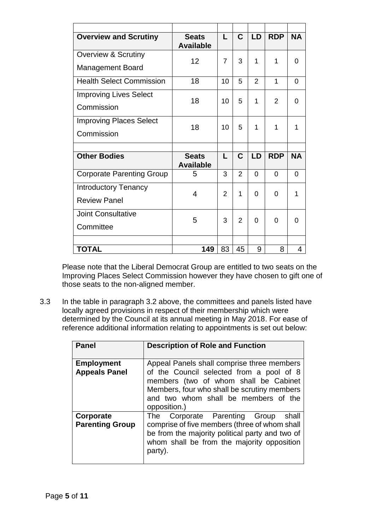| <b>Overview and Scrutiny</b>     | <b>Seats</b><br><b>Available</b> | L              | $\mathbf C$    | LD       | <b>RDP</b> | <b>NA</b> |
|----------------------------------|----------------------------------|----------------|----------------|----------|------------|-----------|
| <b>Overview &amp; Scrutiny</b>   | 12                               | $\overline{7}$ | 3              | 1        | 1          | $\Omega$  |
| <b>Management Board</b>          |                                  |                |                |          |            |           |
| <b>Health Select Commission</b>  | 18                               | 10             | 5              | 2        | 1          | $\Omega$  |
| <b>Improving Lives Select</b>    | 18                               |                |                |          |            |           |
| Commission                       |                                  | 10             | 5              | 1        | 2          | 0         |
| <b>Improving Places Select</b>   | 18                               | 10             | 5              | 1        | 1          | 1         |
| Commission                       |                                  |                |                |          |            |           |
|                                  |                                  |                |                |          |            |           |
| <b>Other Bodies</b>              | <b>Seats</b><br><b>Available</b> | L              | $\mathbf C$    | LD       | <b>RDP</b> | <b>NA</b> |
| <b>Corporate Parenting Group</b> | 5                                | 3              | 2              | $\Omega$ | 0          | $\Omega$  |
| <b>Introductory Tenancy</b>      | 4                                | 2              | 1              | 0        |            | 1         |
| <b>Review Panel</b>              |                                  |                |                |          | 0          |           |
| <b>Joint Consultative</b>        |                                  |                |                |          |            |           |
| Committee                        | 5                                | 3              | $\overline{2}$ | 0        | $\Omega$   | 0         |
|                                  |                                  |                |                |          |            |           |
| <b>TOTAL</b>                     | 149                              | 83             | 45             | 9        | 8          | 4         |

Please note that the Liberal Democrat Group are entitled to two seats on the Improving Places Select Commission however they have chosen to gift one of those seats to the non-aligned member.

3.3 In the table in paragraph 3.2 above, the committees and panels listed have locally agreed provisions in respect of their membership which were determined by the Council at its annual meeting in May 2018. For ease of reference additional information relating to appointments is set out below:

| <b>Panel</b>                              | <b>Description of Role and Function</b>                                                                                                                                                                                                |
|-------------------------------------------|----------------------------------------------------------------------------------------------------------------------------------------------------------------------------------------------------------------------------------------|
| <b>Employment</b><br><b>Appeals Panel</b> | Appeal Panels shall comprise three members<br>of the Council selected from a pool of 8<br>members (two of whom shall be Cabinet<br>Members, four who shall be scrutiny members<br>and two whom shall be members of the<br>opposition.) |
| Corporate<br><b>Parenting Group</b>       | The Corporate Parenting Group<br>shall<br>comprise of five members (three of whom shall<br>be from the majority political party and two of<br>whom shall be from the majority opposition<br>party).                                    |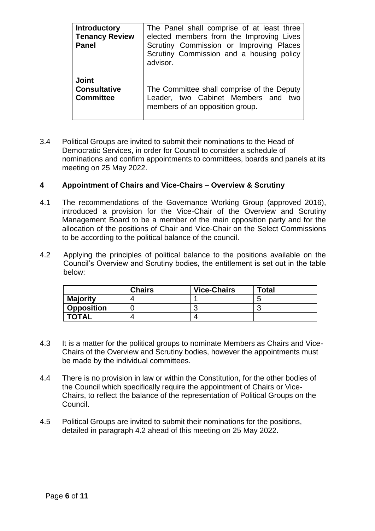| <b>Introductory</b><br><b>Tenancy Review</b><br><b>Panel</b> | The Panel shall comprise of at least three<br>elected members from the Improving Lives<br>Scrutiny Commission or Improving Places<br>Scrutiny Commission and a housing policy<br>advisor. |
|--------------------------------------------------------------|-------------------------------------------------------------------------------------------------------------------------------------------------------------------------------------------|
| <b>Joint</b>                                                 | The Committee shall comprise of the Deputy                                                                                                                                                |
| <b>Consultative</b>                                          | Leader, two Cabinet Members and two                                                                                                                                                       |
| <b>Committee</b>                                             | members of an opposition group.                                                                                                                                                           |

3.4 Political Groups are invited to submit their nominations to the Head of Democratic Services, in order for Council to consider a schedule of nominations and confirm appointments to committees, boards and panels at its meeting on 25 May 2022.

# **4 Appointment of Chairs and Vice-Chairs – Overview & Scrutiny**

- 4.1 The recommendations of the Governance Working Group (approved 2016), introduced a provision for the Vice-Chair of the Overview and Scrutiny Management Board to be a member of the main opposition party and for the allocation of the positions of Chair and Vice-Chair on the Select Commissions to be according to the political balance of the council.
- 4.2 Applying the principles of political balance to the positions available on the Council's Overview and Scrutiny bodies, the entitlement is set out in the table below:

|                   | <b>Chairs</b> | <b>Vice-Chairs</b> | <b>Total</b> |
|-------------------|---------------|--------------------|--------------|
| <b>Majority</b>   |               |                    | -            |
| <b>Opposition</b> |               |                    |              |
| <b>TOTAL</b>      |               |                    |              |

- 4.3 It is a matter for the political groups to nominate Members as Chairs and Vice-Chairs of the Overview and Scrutiny bodies, however the appointments must be made by the individual committees.
- 4.4 There is no provision in law or within the Constitution, for the other bodies of the Council which specifically require the appointment of Chairs or Vice-Chairs, to reflect the balance of the representation of Political Groups on the Council.
- 4.5 Political Groups are invited to submit their nominations for the positions, detailed in paragraph 4.2 ahead of this meeting on 25 May 2022.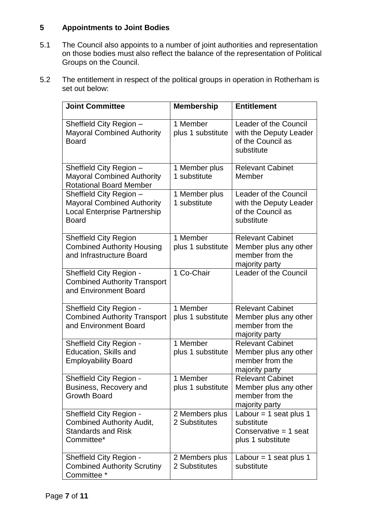# **5 Appointments to Joint Bodies**

- 5.1 The Council also appoints to a number of joint authorities and representation on those bodies must also reflect the balance of the representation of Political Groups on the Council.
- 5.2 The entitlement in respect of the political groups in operation in Rotherham is set out below:

| <b>Joint Committee</b>                                                                                              | <b>Membership</b>                          | <b>Entitlement</b>                                                                    |
|---------------------------------------------------------------------------------------------------------------------|--------------------------------------------|---------------------------------------------------------------------------------------|
| Sheffield City Region -<br><b>Mayoral Combined Authority</b><br><b>Board</b>                                        | 1 Member<br>plus 1 substitute              | Leader of the Council<br>with the Deputy Leader<br>of the Council as<br>substitute    |
| Sheffield City Region -<br><b>Mayoral Combined Authority</b><br><b>Rotational Board Member</b>                      | 1 Member plus<br>1 substitute              | <b>Relevant Cabinet</b><br>Member                                                     |
| Sheffield City Region -<br><b>Mayoral Combined Authority</b><br><b>Local Enterprise Partnership</b><br><b>Board</b> | 1 Member plus<br>1 substitute              | Leader of the Council<br>with the Deputy Leader<br>of the Council as<br>substitute    |
| <b>Sheffield City Region</b><br><b>Combined Authority Housing</b><br>and Infrastructure Board                       | 1 Member<br>plus 1 substitute              | <b>Relevant Cabinet</b><br>Member plus any other<br>member from the<br>majority party |
| Sheffield City Region -<br><b>Combined Authority Transport</b><br>and Environment Board                             | 1 Co-Chair                                 | Leader of the Council                                                                 |
| Sheffield City Region -<br><b>Combined Authority Transport</b><br>and Environment Board                             | $\overline{1}$ Member<br>plus 1 substitute | <b>Relevant Cabinet</b><br>Member plus any other<br>member from the<br>majority party |
| Sheffield City Region -<br><b>Education, Skills and</b><br><b>Employability Board</b>                               | 1 Member<br>plus 1 substitute              | <b>Relevant Cabinet</b><br>Member plus any other<br>member from the<br>majority party |
| Sheffield City Region -<br>Business, Recovery and<br><b>Growth Board</b>                                            | 1 Member<br>plus 1 substitute              | <b>Relevant Cabinet</b><br>Member plus any other<br>member from the<br>majority party |
| <b>Sheffield City Region -</b><br><b>Combined Authority Audit,</b><br><b>Standards and Risk</b><br>Committee*       | 2 Members plus<br>2 Substitutes            | Labour = 1 seat plus 1<br>substitute<br>Conservative $= 1$ seat<br>plus 1 substitute  |
| <b>Sheffield City Region -</b><br><b>Combined Authority Scrutiny</b><br>Committee *                                 | 2 Members plus<br>2 Substitutes            | Labour = 1 seat plus 1<br>substitute                                                  |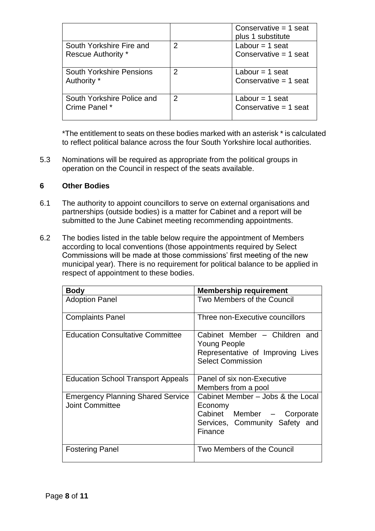|                                 |   | Conservative $= 1$ seat<br>plus 1 substitute |
|---------------------------------|---|----------------------------------------------|
| South Yorkshire Fire and        | 2 | Labour = 1 seat                              |
| <b>Rescue Authority *</b>       |   | Conservative $= 1$ seat                      |
| <b>South Yorkshire Pensions</b> | 2 | Labour = 1 seat                              |
| Authority *                     |   | Conservative $= 1$ seat                      |
| South Yorkshire Police and      | 2 | Labour = 1 seat                              |
| Crime Panel *                   |   | Conservative = 1 seat                        |

\*The entitlement to seats on these bodies marked with an asterisk \* is calculated to reflect political balance across the four South Yorkshire local authorities.

5.3 Nominations will be required as appropriate from the political groups in operation on the Council in respect of the seats available.

## **6 Other Bodies**

- 6.1 The authority to appoint councillors to serve on external organisations and partnerships (outside bodies) is a matter for Cabinet and a report will be submitted to the June Cabinet meeting recommending appointments.
- 6.2 The bodies listed in the table below require the appointment of Members according to local conventions (those appointments required by Select Commissions will be made at those commissions' first meeting of the new municipal year). There is no requirement for political balance to be applied in respect of appointment to these bodies.

| <b>Body</b>                                                        | <b>Membership requirement</b>                                                                                           |
|--------------------------------------------------------------------|-------------------------------------------------------------------------------------------------------------------------|
| <b>Adoption Panel</b>                                              | Two Members of the Council                                                                                              |
| <b>Complaints Panel</b>                                            | Three non-Executive councillors                                                                                         |
| <b>Education Consultative Committee</b>                            | Cabinet Member - Children and<br><b>Young People</b><br>Representative of Improving Lives<br><b>Select Commission</b>   |
| <b>Education School Transport Appeals</b>                          | Panel of six non-Executive<br>Members from a pool                                                                       |
| <b>Emergency Planning Shared Service</b><br><b>Joint Committee</b> | Cabinet Member – Jobs & the Local<br>Economy<br>Cabinet Member - Corporate<br>Services, Community Safety and<br>Finance |
| <b>Fostering Panel</b>                                             | Two Members of the Council                                                                                              |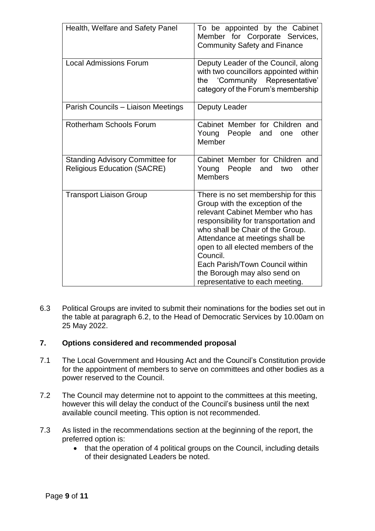| Health, Welfare and Safety Panel                                             | To be appointed by the Cabinet<br>Member for Corporate Services,<br><b>Community Safety and Finance</b>                                                                                                                                                                                                                                                                           |
|------------------------------------------------------------------------------|-----------------------------------------------------------------------------------------------------------------------------------------------------------------------------------------------------------------------------------------------------------------------------------------------------------------------------------------------------------------------------------|
| <b>Local Admissions Forum</b>                                                | Deputy Leader of the Council, along<br>with two councillors appointed within<br>'Community Representative'<br>the<br>category of the Forum's membership                                                                                                                                                                                                                           |
| Parish Councils - Liaison Meetings                                           | Deputy Leader                                                                                                                                                                                                                                                                                                                                                                     |
| <b>Rotherham Schools Forum</b>                                               | Cabinet Member for Children and<br>People and<br>Young<br>other<br>one<br>Member                                                                                                                                                                                                                                                                                                  |
| <b>Standing Advisory Committee for</b><br><b>Religious Education (SACRE)</b> | Cabinet Member for Children and<br>Young People<br>other<br>and<br>two<br><b>Members</b>                                                                                                                                                                                                                                                                                          |
| <b>Transport Liaison Group</b>                                               | There is no set membership for this<br>Group with the exception of the<br>relevant Cabinet Member who has<br>responsibility for transportation and<br>who shall be Chair of the Group.<br>Attendance at meetings shall be<br>open to all elected members of the<br>Council.<br>Each Parish/Town Council within<br>the Borough may also send on<br>representative to each meeting. |

6.3 Political Groups are invited to submit their nominations for the bodies set out in the table at paragraph 6.2, to the Head of Democratic Services by 10.00am on 25 May 2022.

## **7. Options considered and recommended proposal**

- 7.1 The Local Government and Housing Act and the Council's Constitution provide for the appointment of members to serve on committees and other bodies as a power reserved to the Council.
- 7.2 The Council may determine not to appoint to the committees at this meeting, however this will delay the conduct of the Council's business until the next available council meeting. This option is not recommended.
- 7.3 As listed in the recommendations section at the beginning of the report, the preferred option is:
	- that the operation of 4 political groups on the Council, including details of their designated Leaders be noted.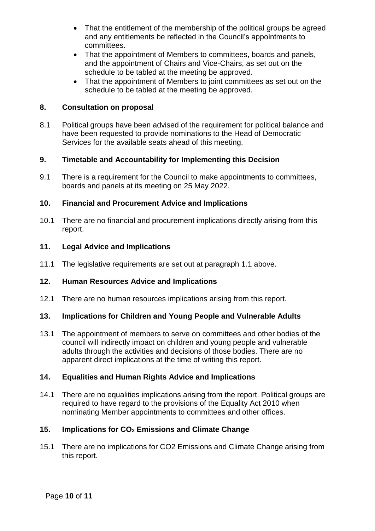- That the entitlement of the membership of the political groups be agreed and any entitlements be reflected in the Council's appointments to committees.
- That the appointment of Members to committees, boards and panels, and the appointment of Chairs and Vice-Chairs, as set out on the schedule to be tabled at the meeting be approved.
- That the appointment of Members to joint committees as set out on the schedule to be tabled at the meeting be approved.

# **8. Consultation on proposal**

8.1 Political groups have been advised of the requirement for political balance and have been requested to provide nominations to the Head of Democratic Services for the available seats ahead of this meeting.

## **9. Timetable and Accountability for Implementing this Decision**

9.1 There is a requirement for the Council to make appointments to committees, boards and panels at its meeting on 25 May 2022.

### **10. Financial and Procurement Advice and Implications**

10.1 There are no financial and procurement implications directly arising from this report.

## **11. Legal Advice and Implications**

11.1 The legislative requirements are set out at paragraph 1.1 above.

## **12. Human Resources Advice and Implications**

12.1 There are no human resources implications arising from this report.

# **13. Implications for Children and Young People and Vulnerable Adults**

13.1 The appointment of members to serve on committees and other bodies of the council will indirectly impact on children and young people and vulnerable adults through the activities and decisions of those bodies. There are no apparent direct implications at the time of writing this report.

### **14. Equalities and Human Rights Advice and Implications**

14.1 There are no equalities implications arising from the report. Political groups are required to have regard to the provisions of the Equality Act 2010 when nominating Member appointments to committees and other offices.

## **15. Implications for CO<sup>2</sup> Emissions and Climate Change**

15.1 There are no implications for CO2 Emissions and Climate Change arising from this report.